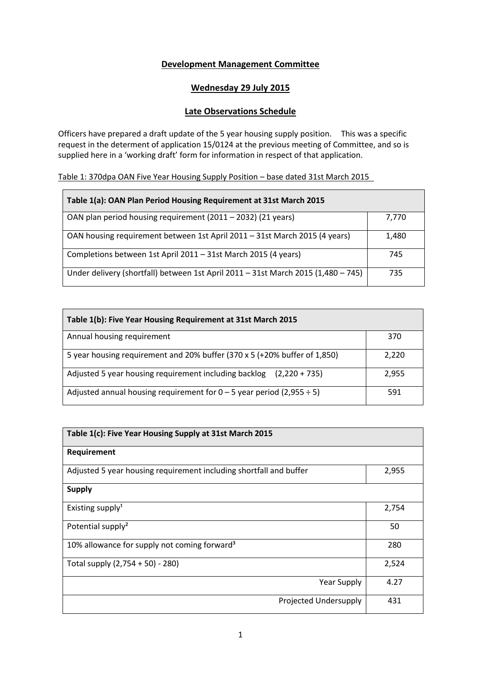# **Development Management Committee**

# **Wednesday 29 July 2015**

# **Late Observations Schedule**

Officers have prepared a draft update of the 5 year housing supply position. This was a specific request in the determent of application 15/0124 at the previous meeting of Committee, and so is supplied here in a 'working draft' form for information in respect of that application.

# Table 1: 370dpa OAN Five Year Housing Supply Position – base dated 31st March 2015

| Table 1(a): OAN Plan Period Housing Requirement at 31st March 2015                |       |  |
|-----------------------------------------------------------------------------------|-------|--|
| OAN plan period housing requirement (2011 - 2032) (21 years)                      | 7.770 |  |
| OAN housing requirement between 1st April 2011 - 31st March 2015 (4 years)        | 1.480 |  |
| Completions between 1st April 2011 - 31st March 2015 (4 years)                    | 745   |  |
| Under delivery (shortfall) between 1st April 2011 - 31st March 2015 (1,480 - 745) | 735   |  |

| Table 1(b): Five Year Housing Requirement at 31st March 2015              |       |  |
|---------------------------------------------------------------------------|-------|--|
| Annual housing requirement                                                | 370   |  |
| 5 year housing requirement and 20% buffer (370 x 5 (+20% buffer of 1,850) | 2,220 |  |
| Adjusted 5 year housing requirement including backlog $(2,220 + 735)$     | 2,955 |  |
| Adjusted annual housing requirement for $0 - 5$ year period (2,955 ÷ 5)   | 591   |  |

| Table 1(c): Five Year Housing Supply at 31st March 2015            |       |
|--------------------------------------------------------------------|-------|
| Requirement                                                        |       |
| Adjusted 5 year housing requirement including shortfall and buffer | 2,955 |
| <b>Supply</b>                                                      |       |
| Existing supply <sup>1</sup>                                       | 2,754 |
| Potential supply <sup>2</sup>                                      | 50    |
| 10% allowance for supply not coming forward <sup>3</sup>           | 280   |
| Total supply (2,754 + 50) - 280)                                   | 2,524 |
| <b>Year Supply</b>                                                 | 4.27  |
| Projected Undersupply                                              | 431   |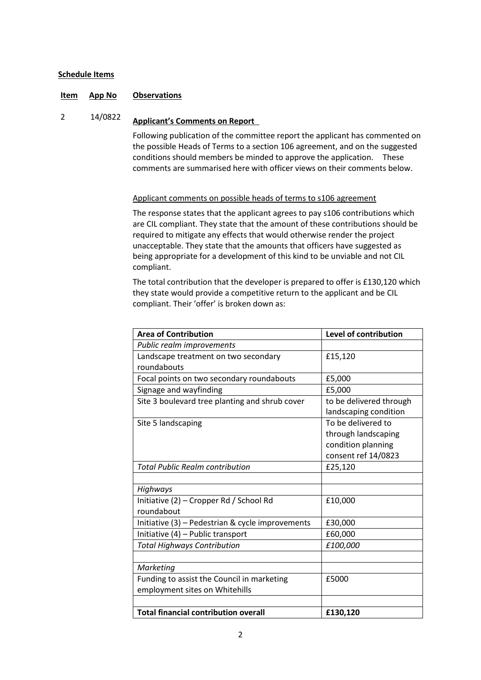# **Schedule Items**

# **Item App No Observations**

# <sup>2</sup> 14/0822 **Applicant's Comments on Report**

Following publication of the committee report the applicant has commented on the possible Heads of Terms to a section 106 agreement, and on the suggested conditions should members be minded to approve the application. These comments are summarised here with officer views on their comments below.

# Applicant comments on possible heads of terms to s106 agreement

The response states that the applicant agrees to pay s106 contributions which are CIL compliant. They state that the amount of these contributions should be required to mitigate any effects that would otherwise render the project unacceptable. They state that the amounts that officers have suggested as being appropriate for a development of this kind to be unviable and not CIL compliant.

The total contribution that the developer is prepared to offer is £130,120 which they state would provide a competitive return to the applicant and be CIL compliant. Their 'offer' is broken down as:

| <b>Area of Contribution</b>                      | <b>Level of contribution</b> |
|--------------------------------------------------|------------------------------|
| Public realm improvements                        |                              |
| Landscape treatment on two secondary             | £15,120                      |
| roundabouts                                      |                              |
| Focal points on two secondary roundabouts        | £5,000                       |
| Signage and wayfinding                           | £5,000                       |
| Site 3 boulevard tree planting and shrub cover   | to be delivered through      |
|                                                  | landscaping condition        |
| Site 5 landscaping                               | To be delivered to           |
|                                                  | through landscaping          |
|                                                  | condition planning           |
|                                                  | consent ref 14/0823          |
| <b>Total Public Realm contribution</b>           | £25,120                      |
|                                                  |                              |
| Highways                                         |                              |
| Initiative (2) - Cropper Rd / School Rd          | £10,000                      |
| roundabout                                       |                              |
| Initiative (3) - Pedestrian & cycle improvements | £30,000                      |
| Initiative (4) - Public transport                | £60,000                      |
| <b>Total Highways Contribution</b>               | £100,000                     |
|                                                  |                              |
| Marketing                                        |                              |
| Funding to assist the Council in marketing       | £5000                        |
| employment sites on Whitehills                   |                              |
|                                                  |                              |
| <b>Total financial contribution overall</b>      | £130,120                     |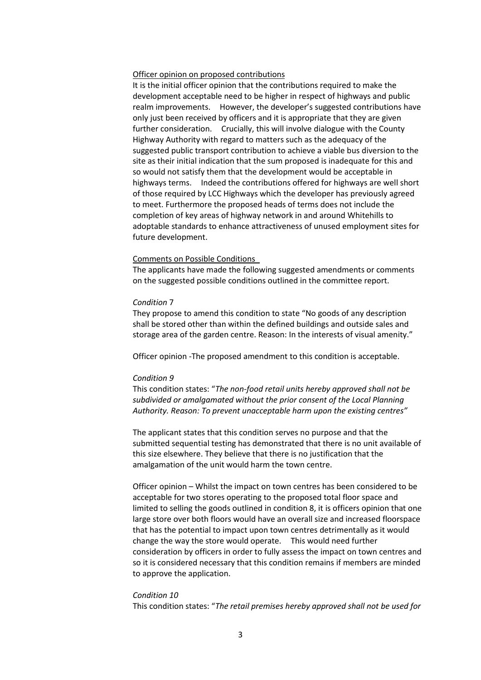## Officer opinion on proposed contributions

It is the initial officer opinion that the contributions required to make the development acceptable need to be higher in respect of highways and public realm improvements. However, the developer's suggested contributions have only just been received by officers and it is appropriate that they are given further consideration. Crucially, this will involve dialogue with the County Highway Authority with regard to matters such as the adequacy of the suggested public transport contribution to achieve a viable bus diversion to the site as their initial indication that the sum proposed is inadequate for this and so would not satisfy them that the development would be acceptable in highways terms. Indeed the contributions offered for highways are well short of those required by LCC Highways which the developer has previously agreed to meet. Furthermore the proposed heads of terms does not include the completion of key areas of highway network in and around Whitehills to adoptable standards to enhance attractiveness of unused employment sites for future development.

#### Comments on Possible Conditions

The applicants have made the following suggested amendments or comments on the suggested possible conditions outlined in the committee report.

#### *Condition* 7

They propose to amend this condition to state "No goods of any description shall be stored other than within the defined buildings and outside sales and storage area of the garden centre. Reason: In the interests of visual amenity."

Officer opinion -The proposed amendment to this condition is acceptable.

#### *Condition 9*

This condition states: "*The non-food retail units hereby approved shall not be subdivided or amalgamated without the prior consent of the Local Planning Authority. Reason: To prevent unacceptable harm upon the existing centres"*

The applicant states that this condition serves no purpose and that the submitted sequential testing has demonstrated that there is no unit available of this size elsewhere. They believe that there is no justification that the amalgamation of the unit would harm the town centre.

Officer opinion – Whilst the impact on town centres has been considered to be acceptable for two stores operating to the proposed total floor space and limited to selling the goods outlined in condition 8, it is officers opinion that one large store over both floors would have an overall size and increased floorspace that has the potential to impact upon town centres detrimentally as it would change the way the store would operate. This would need further consideration by officers in order to fully assess the impact on town centres and so it is considered necessary that this condition remains if members are minded to approve the application.

#### *Condition 10*

This condition states: "*The retail premises hereby approved shall not be used for*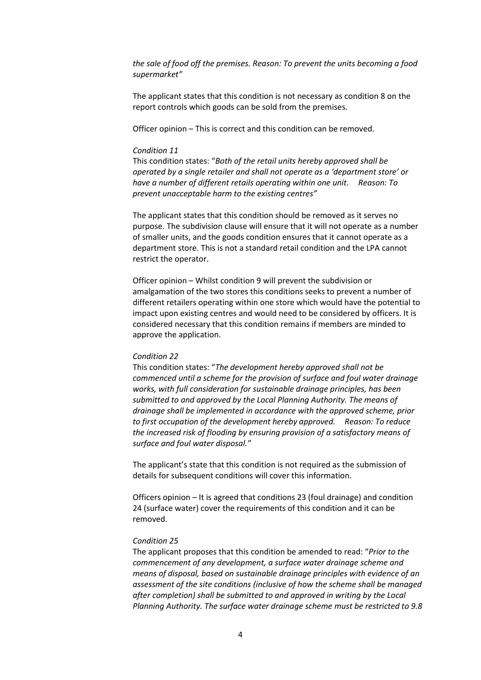*the sale of food off the premises. Reason: To prevent the units becoming a food supermarket"*

The applicant states that this condition is not necessary as condition 8 on the report controls which goods can be sold from the premises.

Officer opinion – This is correct and this condition can be removed.

## *Condition 11*

This condition states: "*Both of the retail units hereby approved shall be operated by a single retailer and shall not operate as a 'department store' or have a number of different retails operating within one unit. Reason: To prevent unacceptable harm to the existing centres"*

The applicant states that this condition should be removed as it serves no purpose. The subdivision clause will ensure that it will not operate as a number of smaller units, and the goods condition ensures that it cannot operate as a department store. This is not a standard retail condition and the LPA cannot restrict the operator.

Officer opinion – Whilst condition 9 will prevent the subdivision or amalgamation of the two stores this conditions seeks to prevent a number of different retailers operating within one store which would have the potential to impact upon existing centres and would need to be considered by officers. It is considered necessary that this condition remains if members are minded to approve the application.

#### *Condition 22*

This condition states: "*The development hereby approved shall not be commenced until a scheme for the provision of surface and foul water drainage works, with full consideration for sustainable drainage principles, has been submitted to and approved by the Local Planning Authority. The means of drainage shall be implemented in accordance with the approved scheme, prior to first occupation of the development hereby approved. Reason: To reduce the increased risk of flooding by ensuring provision of a satisfactory means of surface and foul water disposal."*

The applicant's state that this condition is not required as the submission of details for subsequent conditions will cover this information.

Officers opinion – It is agreed that conditions 23 (foul drainage) and condition 24 (surface water) cover the requirements of this condition and it can be removed.

#### *Condition 25*

The applicant proposes that this condition be amended to read: "*Prior to the commencement of any development, a surface water drainage scheme and means of disposal, based on sustainable drainage principles with evidence of an assessment of the site conditions (inclusive of how the scheme shall be managed after completion) shall be submitted to and approved in writing by the Local Planning Authority. The surface water drainage scheme must be restricted to 9.8*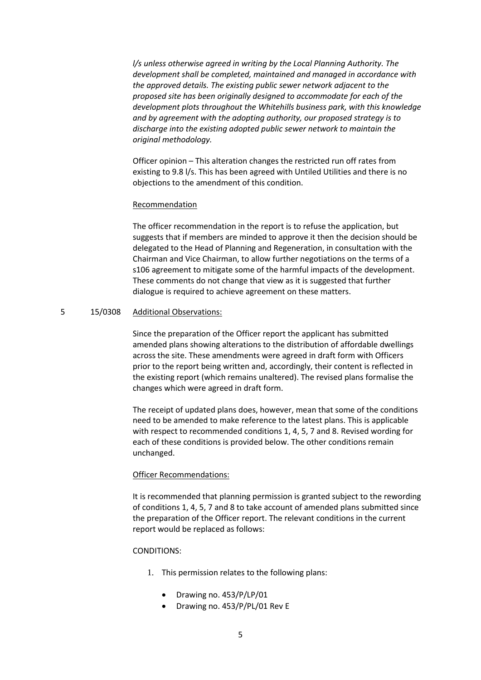*l/s unless otherwise agreed in writing by the Local Planning Authority. The development shall be completed, maintained and managed in accordance with the approved details. The existing public sewer network adjacent to the proposed site has been originally designed to accommodate for each of the development plots throughout the Whitehills business park, with this knowledge and by agreement with the adopting authority, our proposed strategy is to discharge into the existing adopted public sewer network to maintain the original methodology.*

Officer opinion – This alteration changes the restricted run off rates from existing to 9.8 l/s. This has been agreed with Untiled Utilities and there is no objections to the amendment of this condition.

#### Recommendation

The officer recommendation in the report is to refuse the application, but suggests that if members are minded to approve it then the decision should be delegated to the Head of Planning and Regeneration, in consultation with the Chairman and Vice Chairman, to allow further negotiations on the terms of a s106 agreement to mitigate some of the harmful impacts of the development. These comments do not change that view as it is suggested that further dialogue is required to achieve agreement on these matters.

## 5 15/0308 Additional Observations:

Since the preparation of the Officer report the applicant has submitted amended plans showing alterations to the distribution of affordable dwellings across the site. These amendments were agreed in draft form with Officers prior to the report being written and, accordingly, their content is reflected in the existing report (which remains unaltered). The revised plans formalise the changes which were agreed in draft form.

The receipt of updated plans does, however, mean that some of the conditions need to be amended to make reference to the latest plans. This is applicable with respect to recommended conditions 1, 4, 5, 7 and 8. Revised wording for each of these conditions is provided below. The other conditions remain unchanged.

# Officer Recommendations:

It is recommended that planning permission is granted subject to the rewording of conditions 1, 4, 5, 7 and 8 to take account of amended plans submitted since the preparation of the Officer report. The relevant conditions in the current report would be replaced as follows:

#### CONDITIONS:

- 1. This permission relates to the following plans:
	- $\bullet$  Drawing no. 453/P/LP/01
	- Drawing no. 453/P/PL/01 Rev E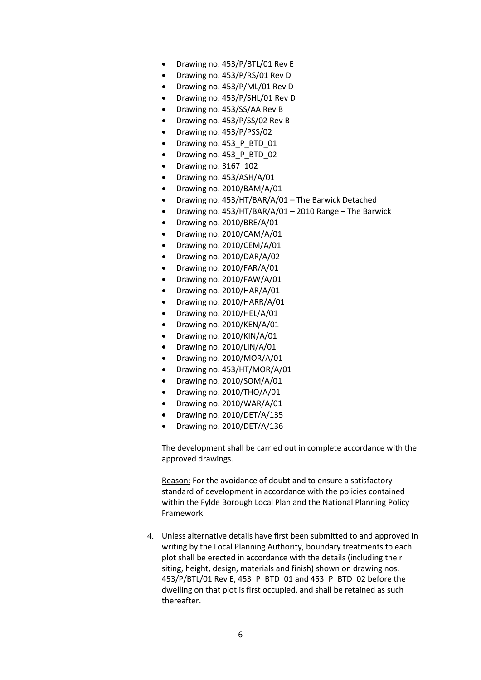- Drawing no. 453/P/BTL/01 Rev E
- Drawing no. 453/P/RS/01 Rev D
- Drawing no. 453/P/ML/01 Rev D
- Drawing no. 453/P/SHL/01 Rev D
- Drawing no. 453/SS/AA Rev B
- Drawing no. 453/P/SS/02 Rev B
- Drawing no. 453/P/PSS/02
- Drawing no. 453\_P\_BTD\_01
- Drawing no. 453\_P\_BTD\_02
- Drawing no. 3167\_102
- Drawing no. 453/ASH/A/01
- Drawing no. 2010/BAM/A/01
- Drawing no. 453/HT/BAR/A/01 The Barwick Detached
- Drawing no. 453/HT/BAR/A/01 2010 Range The Barwick
- Drawing no. 2010/BRE/A/01
- Drawing no. 2010/CAM/A/01
- Drawing no. 2010/CEM/A/01
- Drawing no. 2010/DAR/A/02
- Drawing no. 2010/FAR/A/01
- Drawing no. 2010/FAW/A/01
- Drawing no. 2010/HAR/A/01
- Drawing no. 2010/HARR/A/01
- Drawing no. 2010/HEL/A/01
- Drawing no. 2010/KEN/A/01
- Drawing no. 2010/KIN/A/01
- Drawing no. 2010/LIN/A/01
- Drawing no. 2010/MOR/A/01
- Drawing no. 453/HT/MOR/A/01
- Drawing no. 2010/SOM/A/01
- Drawing no. 2010/THO/A/01
- Drawing no. 2010/WAR/A/01
- Drawing no. 2010/DET/A/135
- Drawing no. 2010/DET/A/136

The development shall be carried out in complete accordance with the approved drawings.

Reason: For the avoidance of doubt and to ensure a satisfactory standard of development in accordance with the policies contained within the Fylde Borough Local Plan and the National Planning Policy Framework.

4. Unless alternative details have first been submitted to and approved in writing by the Local Planning Authority, boundary treatments to each plot shall be erected in accordance with the details (including their siting, height, design, materials and finish) shown on drawing nos. 453/P/BTL/01 Rev E, 453 P BTD 01 and 453 P BTD 02 before the dwelling on that plot is first occupied, and shall be retained as such thereafter.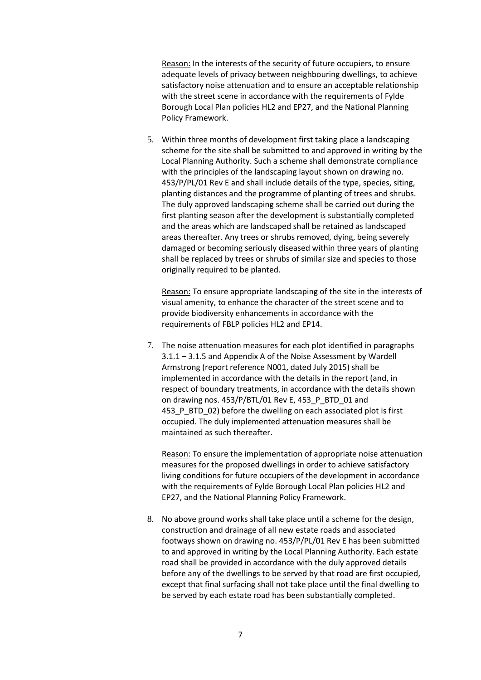Reason: In the interests of the security of future occupiers, to ensure adequate levels of privacy between neighbouring dwellings, to achieve satisfactory noise attenuation and to ensure an acceptable relationship with the street scene in accordance with the requirements of Fylde Borough Local Plan policies HL2 and EP27, and the National Planning Policy Framework.

5. Within three months of development first taking place a landscaping scheme for the site shall be submitted to and approved in writing by the Local Planning Authority. Such a scheme shall demonstrate compliance with the principles of the landscaping layout shown on drawing no. 453/P/PL/01 Rev E and shall include details of the type, species, siting, planting distances and the programme of planting of trees and shrubs. The duly approved landscaping scheme shall be carried out during the first planting season after the development is substantially completed and the areas which are landscaped shall be retained as landscaped areas thereafter. Any trees or shrubs removed, dying, being severely damaged or becoming seriously diseased within three years of planting shall be replaced by trees or shrubs of similar size and species to those originally required to be planted.

Reason: To ensure appropriate landscaping of the site in the interests of visual amenity, to enhance the character of the street scene and to provide biodiversity enhancements in accordance with the requirements of FBLP policies HL2 and EP14.

7. The noise attenuation measures for each plot identified in paragraphs 3.1.1 – 3.1.5 and Appendix A of the Noise Assessment by Wardell Armstrong (report reference N001, dated July 2015) shall be implemented in accordance with the details in the report (and, in respect of boundary treatments, in accordance with the details shown on drawing nos. 453/P/BTL/01 Rev E, 453 P\_BTD\_01 and 453 P BTD 02) before the dwelling on each associated plot is first occupied. The duly implemented attenuation measures shall be maintained as such thereafter.

Reason: To ensure the implementation of appropriate noise attenuation measures for the proposed dwellings in order to achieve satisfactory living conditions for future occupiers of the development in accordance with the requirements of Fylde Borough Local Plan policies HL2 and EP27, and the National Planning Policy Framework.

8. No above ground works shall take place until a scheme for the design, construction and drainage of all new estate roads and associated footways shown on drawing no. 453/P/PL/01 Rev E has been submitted to and approved in writing by the Local Planning Authority. Each estate road shall be provided in accordance with the duly approved details before any of the dwellings to be served by that road are first occupied, except that final surfacing shall not take place until the final dwelling to be served by each estate road has been substantially completed.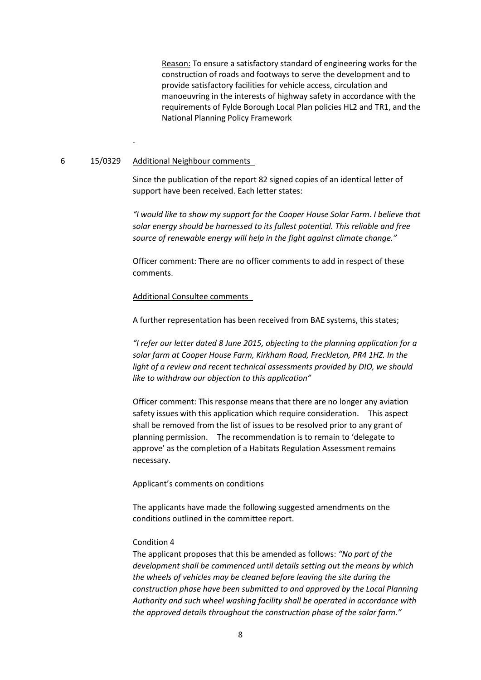Reason: To ensure a satisfactory standard of engineering works for the construction of roads and footways to serve the development and to provide satisfactory facilities for vehicle access, circulation and manoeuvring in the interests of highway safety in accordance with the requirements of Fylde Borough Local Plan policies HL2 and TR1, and the National Planning Policy Framework

## 6 15/0329 Additional Neighbour comments

.

Since the publication of the report 82 signed copies of an identical letter of support have been received. Each letter states:

*"I would like to show my support for the Cooper House Solar Farm. I believe that solar energy should be harnessed to its fullest potential. This reliable and free source of renewable energy will help in the fight against climate change."* 

Officer comment: There are no officer comments to add in respect of these comments.

## Additional Consultee comments

A further representation has been received from BAE systems, this states;

*"I refer our letter dated 8 June 2015, objecting to the planning application for a solar farm at Cooper House Farm, Kirkham Road, Freckleton, PR4 1HZ. In the light of a review and recent technical assessments provided by DIO, we should like to withdraw our objection to this application"*

Officer comment: This response means that there are no longer any aviation safety issues with this application which require consideration. This aspect shall be removed from the list of issues to be resolved prior to any grant of planning permission. The recommendation is to remain to 'delegate to approve' as the completion of a Habitats Regulation Assessment remains necessary.

#### Applicant's comments on conditions

The applicants have made the following suggested amendments on the conditions outlined in the committee report.

# Condition 4

The applicant proposes that this be amended as follows: *"No part of the development shall be commenced until details setting out the means by which the wheels of vehicles may be cleaned before leaving the site during the construction phase have been submitted to and approved by the Local Planning Authority and such wheel washing facility shall be operated in accordance with the approved details throughout the construction phase of the solar farm."*